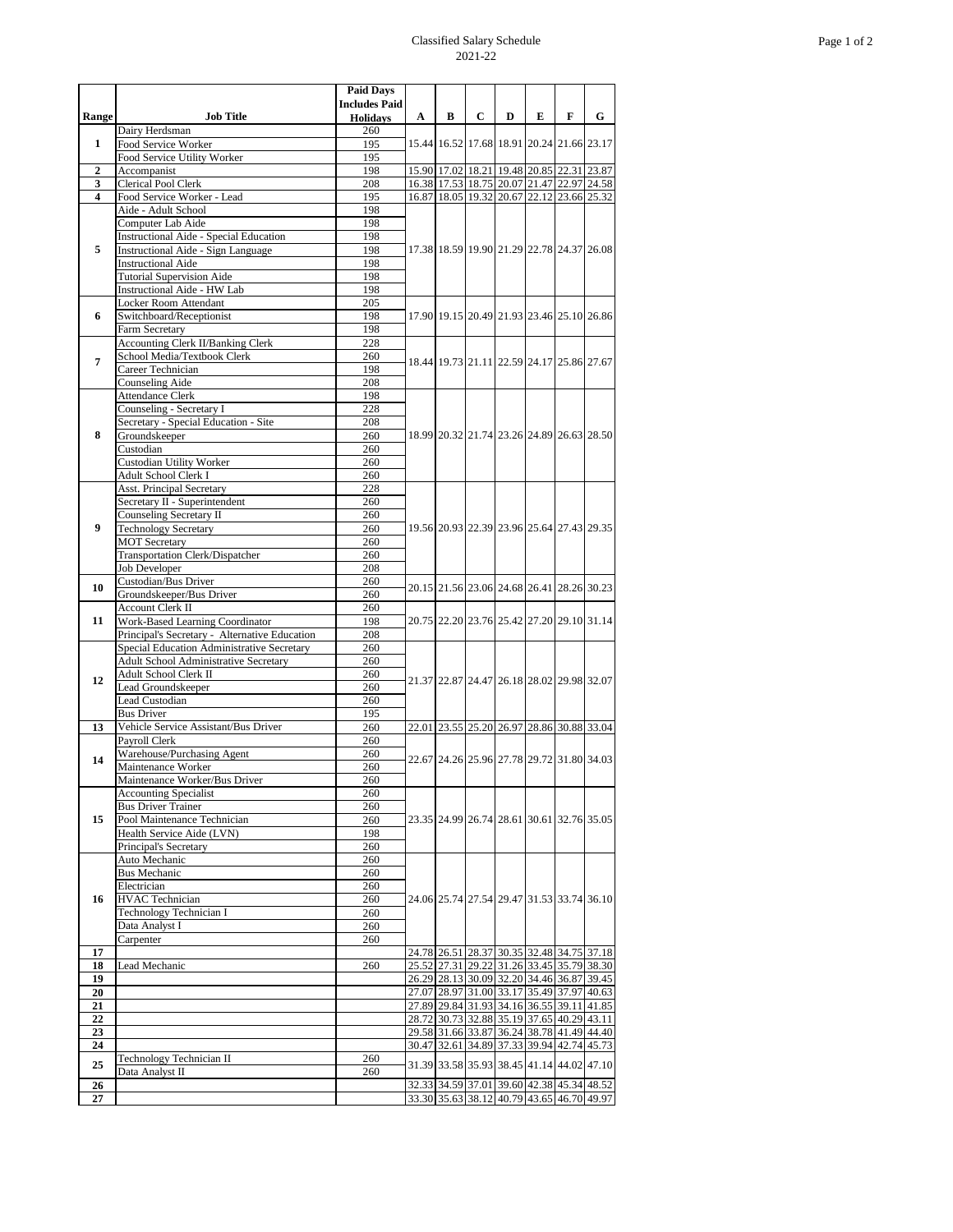## Classified Salary Schedule 2021-22

|                                                    |                                                                                             | <b>Paid Days</b>       |                                           |                                                                                        |             |                                           |   |   |                                           |
|----------------------------------------------------|---------------------------------------------------------------------------------------------|------------------------|-------------------------------------------|----------------------------------------------------------------------------------------|-------------|-------------------------------------------|---|---|-------------------------------------------|
|                                                    |                                                                                             | <b>Includes Paid</b>   |                                           |                                                                                        |             |                                           |   |   |                                           |
| Range                                              | <b>Job Title</b><br>Dairy Herdsman                                                          | <b>Holidays</b><br>260 | $\mathbf{A}$                              | B                                                                                      | $\mathbf C$ | D                                         | E | F | G                                         |
| $\mathbf{1}$                                       | Food Service Worker                                                                         | 195                    |                                           | 15.44 16.52 17.68 18.91 20.24 21.66 23.17                                              |             |                                           |   |   |                                           |
|                                                    | Food Service Utility Worker                                                                 | 195                    |                                           |                                                                                        |             |                                           |   |   |                                           |
| $\overline{2}$                                     | Accompanist                                                                                 | 198                    |                                           | 15.90 17.02 18.21 19.48 20.85 22.31 23.87                                              |             |                                           |   |   |                                           |
| $\overline{\mathbf{3}}$<br>$\overline{\mathbf{4}}$ | <b>Clerical Pool Clerk</b><br>Food Service Worker - Lead                                    | 208<br>195             |                                           | 16.38 17.53 18.75 20.07 21.47 22.97 24.58<br>16.87 18.05 19.32 20.67 22.12 23.66 25.32 |             |                                           |   |   |                                           |
|                                                    | Aide - Adult School                                                                         | 198                    |                                           |                                                                                        |             |                                           |   |   |                                           |
| 5                                                  | Computer Lab Aide                                                                           | 198                    | 17.38 18.59 19.90 21.29 22.78 24.37 26.08 |                                                                                        |             |                                           |   |   |                                           |
|                                                    | <b>Instructional Aide - Special Education</b>                                               | 198                    |                                           |                                                                                        |             |                                           |   |   |                                           |
|                                                    | <b>Instructional Aide - Sign Language</b>                                                   | 198                    |                                           |                                                                                        |             |                                           |   |   |                                           |
|                                                    | <b>Instructional Aide</b><br><b>Tutorial Supervision Aide</b>                               | 198<br>198             |                                           |                                                                                        |             |                                           |   |   |                                           |
|                                                    | <b>Instructional Aide - HW Lab</b>                                                          | 198                    |                                           |                                                                                        |             |                                           |   |   |                                           |
|                                                    | Locker Room Attendant                                                                       | 205                    |                                           |                                                                                        |             |                                           |   |   |                                           |
| 6                                                  | Switchboard/Receptionist                                                                    | 198                    |                                           |                                                                                        |             |                                           |   |   | 17.90 19.15 20.49 21.93 23.46 25.10 26.86 |
|                                                    | Farm Secretary                                                                              | 198                    |                                           |                                                                                        |             |                                           |   |   |                                           |
| 7                                                  | <b>Accounting Clerk II/Banking Clerk</b><br>School Media/Textbook Clerk                     | 228<br>260             | 18.44 19.73 21.11 22.59 24.17 25.86 27.67 |                                                                                        |             |                                           |   |   |                                           |
|                                                    | Career Technician                                                                           | 198                    |                                           |                                                                                        |             |                                           |   |   |                                           |
|                                                    | Counseling Aide                                                                             | 208                    |                                           |                                                                                        |             |                                           |   |   |                                           |
|                                                    | <b>Attendance Clerk</b>                                                                     | 198                    |                                           |                                                                                        |             |                                           |   |   |                                           |
|                                                    | Counseling - Secretary I                                                                    | 228                    |                                           |                                                                                        |             |                                           |   |   | 18.99 20.32 21.74 23.26 24.89 26.63 28.50 |
| 8                                                  | Secretary - Special Education - Site<br>Groundskeeper                                       | 208<br>260             |                                           |                                                                                        |             |                                           |   |   |                                           |
|                                                    | Custodian                                                                                   | 260                    |                                           |                                                                                        |             |                                           |   |   |                                           |
|                                                    | <b>Custodian Utility Worker</b>                                                             | 260                    |                                           |                                                                                        |             |                                           |   |   |                                           |
|                                                    | Adult School Clerk I                                                                        | 260                    |                                           |                                                                                        |             |                                           |   |   |                                           |
| $\boldsymbol{9}$                                   | <b>Asst. Principal Secretary</b>                                                            | 228                    | 19.56 20.93 22.39 23.96 25.64 27.43 29.35 |                                                                                        |             |                                           |   |   |                                           |
|                                                    | Secretary II - Superintendent<br>Counseling Secretary II                                    | 260<br>260             |                                           |                                                                                        |             |                                           |   |   |                                           |
|                                                    | <b>Technology Secretary</b>                                                                 | 260                    |                                           |                                                                                        |             |                                           |   |   |                                           |
|                                                    | <b>MOT Secretary</b>                                                                        | 260                    |                                           |                                                                                        |             |                                           |   |   |                                           |
|                                                    | <b>Transportation Clerk/Dispatcher</b>                                                      | 260                    |                                           |                                                                                        |             |                                           |   |   |                                           |
|                                                    | <b>Job Developer</b><br>Custodian/Bus Driver                                                | 208<br>260             |                                           |                                                                                        |             |                                           |   |   |                                           |
| 10                                                 | Groundskeeper/Bus Driver                                                                    | 260                    |                                           | 20.15 21.56 23.06 24.68 26.41 28.26 30.23                                              |             |                                           |   |   |                                           |
| 11                                                 | <b>Account Clerk II</b>                                                                     | 260                    | 20.75 22.20 23.76 25.42 27.20 29.10 31.14 |                                                                                        |             |                                           |   |   |                                           |
|                                                    | <b>Work-Based Learning Coordinator</b>                                                      | 198                    |                                           |                                                                                        |             |                                           |   |   |                                           |
|                                                    | Principal's Secretary - Alternative Education<br>Special Education Administrative Secretary | 208<br>260             |                                           |                                                                                        |             |                                           |   |   |                                           |
| 12                                                 | <b>Adult School Administrative Secretary</b>                                                | 260                    |                                           |                                                                                        |             | 21.37 22.87 24.47 26.18 28.02 29.98 32.07 |   |   |                                           |
|                                                    | Adult School Clerk II                                                                       | 260                    |                                           |                                                                                        |             |                                           |   |   |                                           |
|                                                    | Lead Groundskeeper                                                                          | 260                    |                                           |                                                                                        |             |                                           |   |   |                                           |
|                                                    | Lead Custodian<br><b>Bus Driver</b>                                                         | 260<br>195             |                                           |                                                                                        |             |                                           |   |   |                                           |
| 13                                                 | Vehicle Service Assistant/Bus Driver                                                        | 260                    |                                           | 22.01 23.55 25.20 26.97 28.86 30.88 33.04                                              |             |                                           |   |   |                                           |
|                                                    | Payroll Clerk                                                                               | 260                    |                                           |                                                                                        |             | 22.67 24.26 25.96 27.78 29.72 31.80 34.03 |   |   |                                           |
| 14                                                 | Warehouse/Purchasing Agent                                                                  | 260                    |                                           |                                                                                        |             |                                           |   |   |                                           |
|                                                    | Maintenance Worker                                                                          | 260                    |                                           |                                                                                        |             |                                           |   |   |                                           |
|                                                    | Maintenance Worker/Bus Driver<br><b>Accounting Specialist</b>                               | 260<br>260             |                                           |                                                                                        |             |                                           |   |   |                                           |
| 15                                                 | <b>Bus Driver Trainer</b>                                                                   | 260                    | 23.35 24.99 26.74 28.61 30.61 32.76 35.05 |                                                                                        |             |                                           |   |   |                                           |
|                                                    | Pool Maintenance Technician                                                                 | 260                    |                                           |                                                                                        |             |                                           |   |   |                                           |
|                                                    | Health Service Aide (LVN)                                                                   | 198                    |                                           |                                                                                        |             |                                           |   |   |                                           |
|                                                    | Principal's Secretary<br><b>Auto Mechanic</b>                                               | 260<br>260             |                                           |                                                                                        |             |                                           |   |   |                                           |
| 16                                                 | <b>Bus Mechanic</b>                                                                         | 260                    | 24.06 25.74 27.54 29.47 31.53 33.74 36.10 |                                                                                        |             |                                           |   |   |                                           |
|                                                    | Electrician                                                                                 | 260                    |                                           |                                                                                        |             |                                           |   |   |                                           |
|                                                    | <b>HVAC</b> Technician                                                                      | 260                    |                                           |                                                                                        |             |                                           |   |   |                                           |
|                                                    | Technology Technician I                                                                     | 260                    |                                           |                                                                                        |             |                                           |   |   |                                           |
|                                                    | Data Analyst I<br>Carpenter                                                                 | 260<br>260             |                                           |                                                                                        |             |                                           |   |   |                                           |
| 17                                                 |                                                                                             |                        |                                           | 24.78 26.51 28.37 30.35 32.48 34.75 37.18                                              |             |                                           |   |   |                                           |
| 18                                                 | Lead Mechanic                                                                               | 260                    |                                           | 25.52 27.31 29.22 31.26 33.45 35.79 38.30                                              |             |                                           |   |   |                                           |
| 19                                                 |                                                                                             |                        |                                           | 26.29 28.13 30.09 32.20 34.46 36.87 39.45                                              |             |                                           |   |   |                                           |
| 20<br>21                                           |                                                                                             |                        |                                           | 27.07 28.97 31.00 33.17 35.49 37.97 40.63<br>27.89 29.84 31.93 34.16 36.55 39.11 41.85 |             |                                           |   |   |                                           |
| 22                                                 |                                                                                             |                        |                                           | 28.72 30.73 32.88 35.19 37.65 40.29 43.11                                              |             |                                           |   |   |                                           |
| 23                                                 |                                                                                             |                        |                                           | 29.58 31.66 33.87 36.24 38.78 41.49 44.40                                              |             |                                           |   |   |                                           |
| 24                                                 |                                                                                             |                        |                                           | 30.47 32.61 34.89 37.33 39.94 42.74 45.73                                              |             |                                           |   |   |                                           |
| 25                                                 | Technology Technician II                                                                    | 260                    |                                           |                                                                                        |             |                                           |   |   | 31.39 33.58 35.93 38.45 41.14 44.02 47.10 |
| 26                                                 | Data Analyst II                                                                             | 260                    |                                           | 32.33 34.59 37.01 39.60 42.38 45.34 48.52                                              |             |                                           |   |   |                                           |
| $27\,$                                             |                                                                                             |                        |                                           | 33.30 35.63 38.12 40.79 43.65 46.70 49.97                                              |             |                                           |   |   |                                           |
|                                                    |                                                                                             |                        |                                           |                                                                                        |             |                                           |   |   |                                           |